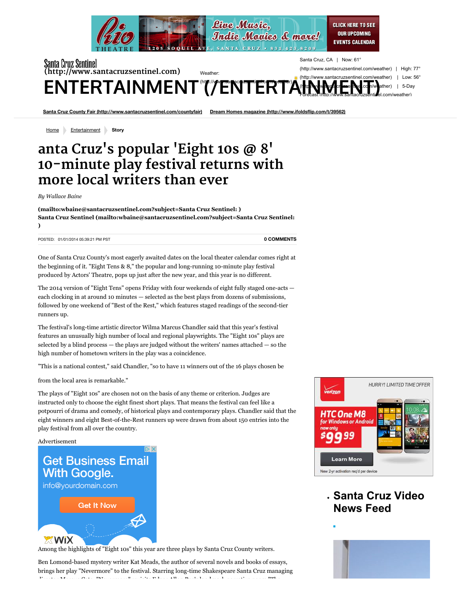

## Santa Cruz Sentinel Santa **[\(http://www.santacruzsentinel.com\)](http://www.santacruzsentinel.com/)** (http:/ Weather: (http:/ ENTERTAINMENT"("/"ENTERTAH

[Santa Cruz County Fair \(http://www.santacruzsentinel.com/countyfair\)](http://www.santacruzsentinel.com/countyfair) Dream Homes magazine (http://www.ifoldsfli

**Driven Entertainment Story <b>Community Voices** (http://www.santacruzsentinel.com/communityvoices)

## **9/11 museum (http:/santacruzsentinel.com/ci\_26503890) More and better selfies (http://www.santacruzsentinel.com/ci\_26490324) anta Cruz's popular 'Eight 10s @ 8'** 10-minute play festival returns with **more local writers than ever**

*By Wallace Baine*

**[\(mailto:wbaine@santacruzsentinel.com?subject=Santa Cruz Sentinel: \)](mailto:wbaine@santacruzsentinel.com?subject=Santa%20Cruz%20Sentinel:) [Santa Cruz Sentinel \(mailto:wbaine@santacruzsentinel.com?subject=Santa Cruz Sentinel:](mailto:wbaine@santacruzsentinel.com?subject=Santa%20Cruz%20Sentinel:) )**

POSTED: 01/01/2014 05:39:21 PM PST

**[0 COMMENTS](http://www.santacruzsentinel.com/entertainment/ci_24830396/anta-cruzs-popular-eight-10s-8-10-minute#disqus_thread)**

One of Santa Cruz County's most eagerly awaited dates on the local theater calendar comes right at the beginning of it. "Eight Tens & 8," the popular and long-running 10-minute play festival produced by Actors' Theatre, pops up just after the new year, and this year is no different.

The 2014 version of "Eight Tens" opens Friday with four weekends of eight fully staged one-acts each clocking in at around 10 minutes — selected as the best plays from dozens of submissions, followed by one weekend of "Best of the Rest," which features staged readings of the second-tier runners up.

The festival's long-time artistic director Wilma Marcus Chandler said that this year's festival features an unusually high number of local and regional playwrights. The "Eight 10s" plays are selected by a blind process  $-$  the plays are judged without the writers' names attached  $-$  so the high number of hometown writers in the play was a coincidence.

"This is a national contest," said Chandler, "so to have 11 winners out of the 16 plays chosen be

from the local area is remarkable."

The plays of "Eight 10s" are chosen not on the basis of any theme or criterion. Judges are instructed only to choose the eight finest short plays. That means the festival can feel like a potpourri of drama and comedy, of historical plays and contemporary plays. Chandler said that the eight winners and eight Best-of-the-Rest runners up were drawn from about 150 entries into the play festival from all over the country.

Advertisement

 $\overline{\mathbb{D}}$  X